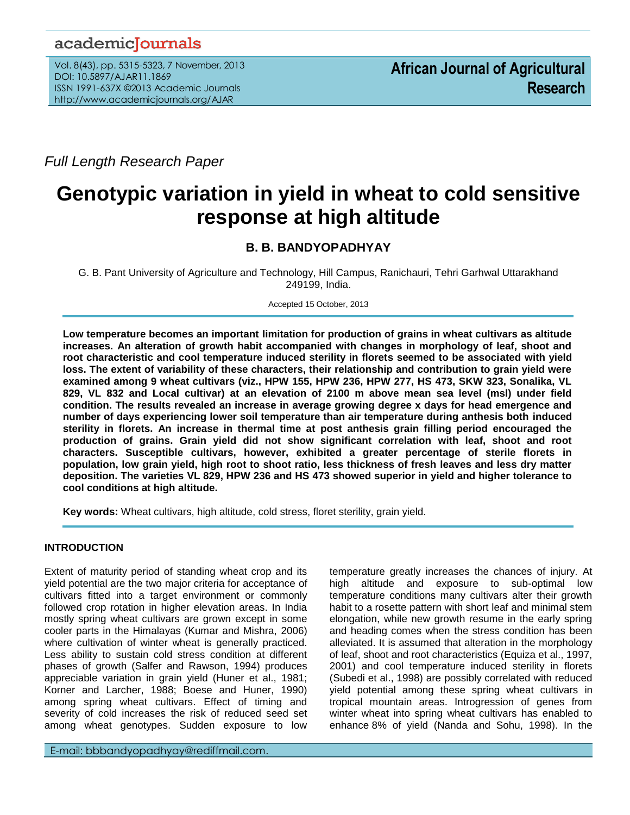## academicJournals

Vol. 8(43), pp. 5315-5323, 7 November, 2013 DOI: 10.5897/AJAR11.1869 ISSN 1991-637X ©2013 Academic Journals http://www.academicjournals.org/AJAR

*Full Length Research Paper*

# **Genotypic variation in yield in wheat to cold sensitive response at high altitude**

## **B. B. BANDYOPADHYAY**

G. B. Pant University of Agriculture and Technology, Hill Campus, Ranichauri, Tehri Garhwal Uttarakhand 249199, India.

Accepted 15 October, 2013

**Low temperature becomes an important limitation for production of grains in wheat cultivars as altitude increases. An alteration of growth habit accompanied with changes in morphology of leaf, shoot and root characteristic and cool temperature induced sterility in florets seemed to be associated with yield loss. The extent of variability of these characters, their relationship and contribution to grain yield were examined among 9 wheat cultivars (viz., HPW 155, HPW 236, HPW 277, HS 473, SKW 323, Sonalika, VL 829, VL 832 and Local cultivar) at an elevation of 2100 m above mean sea level (msl) under field condition. The results revealed an increase in average growing degree x days for head emergence and number of days experiencing lower soil temperature than air temperature during anthesis both induced sterility in florets. An increase in thermal time at post anthesis grain filling period encouraged the production of grains. Grain yield did not show significant correlation with leaf, shoot and root characters. Susceptible cultivars, however, exhibited a greater percentage of sterile florets in population, low grain yield, high root to shoot ratio, less thickness of fresh leaves and less dry matter deposition. The varieties VL 829, HPW 236 and HS 473 showed superior in yield and higher tolerance to cool conditions at high altitude.** 

**Key words:** Wheat cultivars, high altitude, cold stress, floret sterility, grain yield.

### **INTRODUCTION**

Extent of maturity period of standing wheat crop and its yield potential are the two major criteria for acceptance of cultivars fitted into a target environment or commonly followed crop rotation in higher elevation areas. In India mostly spring wheat cultivars are grown except in some cooler parts in the Himalayas (Kumar and Mishra, 2006) where cultivation of winter wheat is generally practiced. Less ability to sustain cold stress condition at different phases of growth (Salfer and Rawson, 1994) produces appreciable variation in grain yield (Huner et al., 1981; Korner and Larcher, 1988; Boese and Huner, 1990) among spring wheat cultivars. Effect of timing and severity of cold increases the risk of reduced seed set among wheat genotypes. Sudden exposure to low

temperature greatly increases the chances of injury. At high altitude and exposure to sub-optimal low temperature conditions many cultivars alter their growth habit to a rosette pattern with short leaf and minimal stem elongation, while new growth resume in the early spring and heading comes when the stress condition has been alleviated. It is assumed that alteration in the morphology of leaf, shoot and root characteristics (Equiza et al., 1997, 2001) and cool temperature induced sterility in florets (Subedi et al., 1998) are possibly correlated with reduced yield potential among these spring wheat cultivars in tropical mountain areas. Introgression of genes from winter wheat into spring wheat cultivars has enabled to enhance 8% of yield (Nanda and Sohu, 1998). In the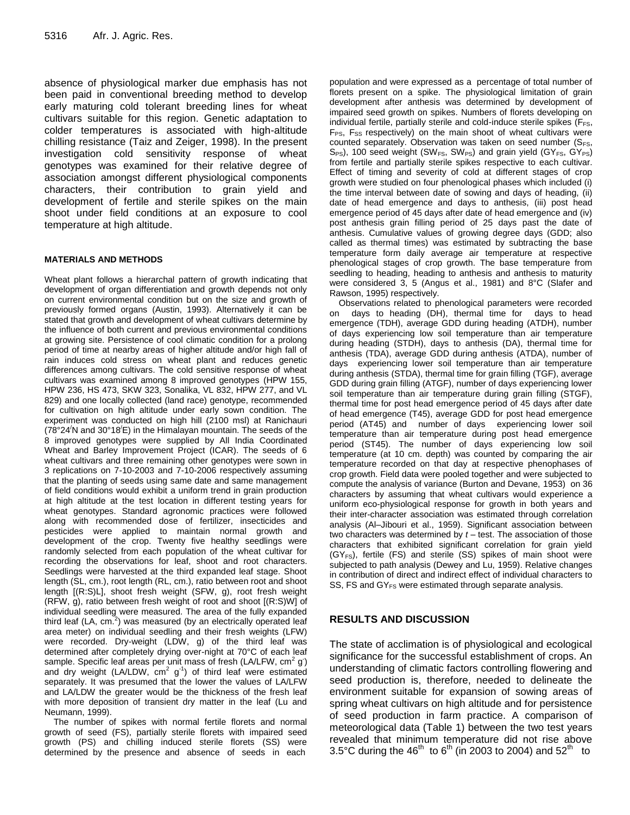absence of physiological marker due emphasis has not been paid in conventional breeding method to develop early maturing cold tolerant breeding lines for wheat cultivars suitable for this region. Genetic adaptation to colder temperatures is associated with high-altitude chilling resistance (Taiz and Zeiger, 1998). In the present investigation cold sensitivity response of wheat genotypes was examined for their relative degree of association amongst different physiological components characters, their contribution to grain yield and development of fertile and sterile spikes on the main shoot under field conditions at an exposure to cool temperature at high altitude.

#### **MATERIALS AND METHODS**

Wheat plant follows a hierarchal pattern of growth indicating that development of organ differentiation and growth depends not only on current environmental condition but on the size and growth of previously formed organs (Austin, 1993). Alternatively it can be stated that growth and development of wheat cultivars determine by the influence of both current and previous environmental conditions at growing site. Persistence of cool climatic condition for a prolong period of time at nearby areas of higher altitude and/or high fall of rain induces cold stress on wheat plant and reduces genetic differences among cultivars. The cold sensitive response of wheat cultivars was examined among 8 improved genotypes (HPW 155, HPW 236, HS 473, SKW 323, Sonalika, VL 832, HPW 277, and VL 829) and one locally collected (land race) genotype, recommended for cultivation on high altitude under early sown condition. The experiment was conducted on high hill (2100 msl) at Ranichauri (78°24/N and 30°18/E) in the Himalayan mountain. The seeds of the 8 improved genotypes were supplied by All India Coordinated Wheat and Barley Improvement Project (ICAR). The seeds of 6 wheat cultivars and three remaining other genotypes were sown in 3 replications on 7-10-2003 and 7-10-2006 respectively assuming that the planting of seeds using same date and same management of field conditions would exhibit a uniform trend in grain production at high altitude at the test location in different testing years for wheat genotypes. Standard agronomic practices were followed along with recommended dose of fertilizer, insecticides and pesticides were applied to maintain normal growth and development of the crop. Twenty five healthy seedlings were randomly selected from each population of the wheat cultivar for recording the observations for leaf, shoot and root characters. Seedlings were harvested at the third expanded leaf stage. Shoot length (SL, cm.), root length (RL, cm.), ratio between root and shoot length [(R:S)L], shoot fresh weight (SFW, g), root fresh weight (RFW, g), ratio between fresh weight of root and shoot [(R:S)W] of individual seedling were measured. The area of the fully expanded third leaf (LA, cm. $2$ ) was measured (by an electrically operated leaf area meter) on individual seedling and their fresh weights (LFW) were recorded. Dry-weight (LDW, g) of the third leaf was determined after completely drying over-night at 70°C of each leaf sample. Specific leaf areas per unit mass of fresh (LA/LFW,  $cm<sup>2</sup>$  g) and dry weight (LA/LDW,  $cm^2$  g<sup>-1</sup>) of third leaf were estimated separately. It was presumed that the lower the values of LA/LFW and LA/LDW the greater would be the thickness of the fresh leaf with more deposition of transient dry matter in the leaf (Lu and Neumann, 1999).

The number of spikes with normal fertile florets and normal growth of seed (FS), partially sterile florets with impaired seed growth (PS) and chilling induced sterile florets (SS) were determined by the presence and absence of seeds in each

population and were expressed as a percentage of total number of florets present on a spike. The physiological limitation of grain development after anthesis was determined by development of impaired seed growth on spikes. Numbers of florets developing on individual fertile, partially sterile and cold-induce sterile spikes ( $F_{FS}$ ,  $F_{PS}$ ,  $F_{SS}$  respectively) on the main shoot of wheat cultivars were counted separately. Observation was taken on seed number ( $S_{FS}$ , S<sub>PS</sub>), 100 seed weight (SW<sub>FS</sub>, SW<sub>PS</sub>) and grain yield (GY<sub>FS</sub>, GY<sub>PS</sub>) from fertile and partially sterile spikes respective to each cultivar. Effect of timing and severity of cold at different stages of crop growth were studied on four phenological phases which included (i) the time interval between date of sowing and days of heading, (ii) date of head emergence and days to anthesis, (iii) post head emergence period of 45 days after date of head emergence and (iv) post anthesis grain filling period of 25 days past the date of anthesis. Cumulative values of growing degree days (GDD; also called as thermal times) was estimated by subtracting the base temperature form daily average air temperature at respective phenological stages of crop growth. The base temperature from seedling to heading, heading to anthesis and anthesis to maturity were considered 3, 5 (Angus et al., 1981) and 8°C (Slafer and Rawson, 1995) respectively.

Observations related to phenological parameters were recorded on days to heading (DH), thermal time for days to head emergence (TDH), average GDD during heading (ATDH), number of days experiencing low soil temperature than air temperature during heading (STDH), days to anthesis (DA), thermal time for anthesis (TDA), average GDD during anthesis (ATDA), number of days experiencing lower soil temperature than air temperature during anthesis (STDA), thermal time for grain filling (TGF), average GDD during grain filling (ATGF), number of days experiencing lower soil temperature than air temperature during grain filling (STGF), thermal time for post head emergence period of 45 days after date of head emergence (T45), average GDD for post head emergence period (AT45) and number of days experiencing lower soil temperature than air temperature during post head emergence period (ST45). The number of days experiencing low soil temperature (at 10 cm. depth) was counted by comparing the air temperature recorded on that day at respective phenophases of crop growth. Field data were pooled together and were subjected to compute the analysis of variance (Burton and Devane, 1953) on 36 characters by assuming that wheat cultivars would experience a uniform eco-physiological response for growth in both years and their inter-character association was estimated through correlation analysis (Al–Jibouri et al., 1959). Significant association between two characters was determined by *t* – test. The association of those characters that exhibited significant correlation for grain yield (GYFS), fertile (FS) and sterile (SS) spikes of main shoot were subjected to path analysis (Dewey and Lu, 1959). Relative changes in contribution of direct and indirect effect of individual characters to SS, FS and  $GY_{FS}$  were estimated through separate analysis.

#### **RESULTS AND DISCUSSION**

The state of acclimation is of physiological and ecological significance for the successful establishment of crops. An understanding of climatic factors controlling flowering and seed production is, therefore, needed to delineate the environment suitable for expansion of sowing areas of spring wheat cultivars on high altitude and for persistence of seed production in farm practice. A comparison of meteorological data (Table 1) between the two test years revealed that minimum temperature did not rise above 3.5°C during the 46<sup>th</sup> to 6<sup>th</sup> (in 2003 to 2004) and 52<sup>th</sup> to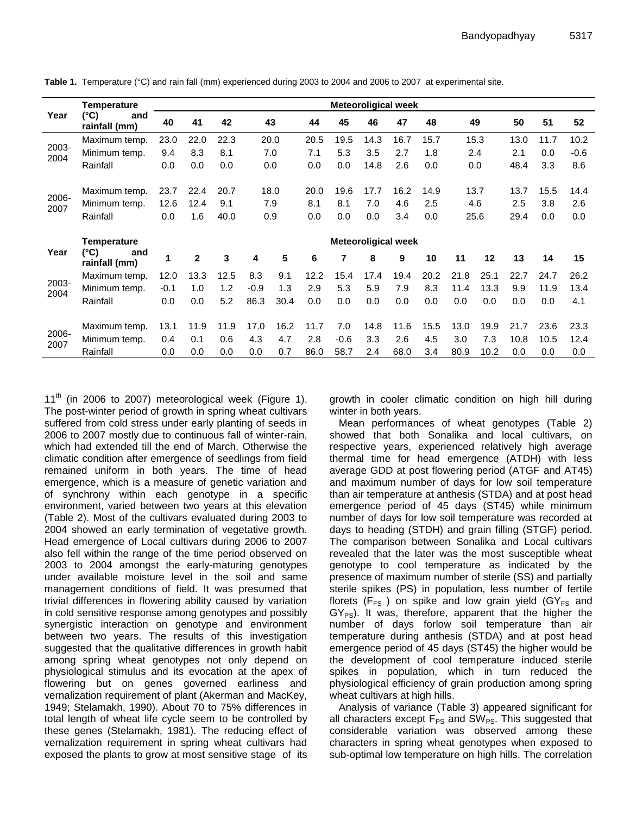| Year          | <b>Temperature</b>           |                            |                |      |        |      |      |        |      | <b>Meteoroligical week</b> |      |      |      |      |      |        |
|---------------|------------------------------|----------------------------|----------------|------|--------|------|------|--------|------|----------------------------|------|------|------|------|------|--------|
|               | (°C)<br>and<br>rainfall (mm) | 40                         | 41             | 42   | 43     |      | 44   | 45     | 46   | 47                         | 48   | 49   |      | 50   | 51   | 52     |
|               | Maximum temp.                | 23.0                       | 22.0           | 22.3 | 20.0   |      | 20.5 | 19.5   | 14.3 | 16.7                       | 15.7 |      | 15.3 | 13.0 | 11.7 | 10.2   |
| 2003-<br>2004 | Minimum temp.                | 9.4                        | 8.3            | 8.1  | 7.0    |      | 7.1  | 5.3    | 3.5  | 2.7                        | 1.8  |      | 2.4  | 2.1  | 0.0  | $-0.6$ |
|               | Rainfall                     | 0.0                        | 0.0            | 0.0  | 0.0    |      | 0.0  | 0.0    | 14.8 | 2.6                        | 0.0  |      | 0.0  | 48.4 | 3.3  | 8.6    |
|               | Maximum temp.                | 23.7                       | 22.4           | 20.7 |        | 18.0 | 20.0 | 19.6   | 17.7 | 16.2                       | 14.9 |      | 13.7 | 13.7 | 15.5 | 14.4   |
| 2006-<br>2007 | Minimum temp.                | 12.6                       | 12.4           | 9.1  | 7.9    |      | 8.1  | 8.1    | 7.0  | 4.6                        | 2.5  |      | 4.6  | 2.5  | 3.8  | 2.6    |
|               | Rainfall                     | 0.0                        | 1.6            | 40.0 | 0.9    |      | 0.0  | 0.0    | 0.0  | 3.4                        | 0.0  |      | 25.6 | 29.4 | 0.0  | 0.0    |
|               | <b>Temperature</b>           | <b>Meteoroligical week</b> |                |      |        |      |      |        |      |                            |      |      |      |      |      |        |
| Year          | (°C)<br>and<br>rainfall (mm) | 1                          | $\overline{2}$ | 3    | 4      | 5    | 6    | 7      | 8    | 9                          | 10   | 11   | 12   | 13   | 14   | 15     |
|               | Maximum temp.                | 12.0                       | 13.3           | 12.5 | 8.3    | 9.1  | 12.2 | 15.4   | 17.4 | 19.4                       | 20.2 | 21.8 | 25.1 | 22.7 | 24.7 | 26.2   |
| 2003-<br>2004 | Minimum temp.                | $-0.1$                     | 1.0            | 1.2  | $-0.9$ | 1.3  | 2.9  | 5.3    | 5.9  | 7.9                        | 8.3  | 11.4 | 13.3 | 9.9  | 11.9 | 13.4   |
|               | Rainfall                     | 0.0                        | 0.0            | 5.2  | 86.3   | 30.4 | 0.0  | 0.0    | 0.0  | 0.0                        | 0.0  | 0.0  | 0.0  | 0.0  | 0.0  | 4.1    |
|               | Maximum temp.                | 13.1                       | 11.9           | 11.9 | 17.0   | 16.2 | 11.7 | 7.0    | 14.8 | 11.6                       | 15.5 | 13.0 | 19.9 | 21.7 | 23.6 | 23.3   |
| 2006-<br>2007 | Minimum temp.                | 0.4                        | 0.1            | 0.6  | 4.3    | 4.7  | 2.8  | $-0.6$ | 3.3  | 2.6                        | 4.5  | 3.0  | 7.3  | 10.8 | 10.5 | 12.4   |
|               | Rainfall                     | 0.0                        | 0.0            | 0.0  | 0.0    | 0.7  | 86.0 | 58.7   | 2.4  | 68.0                       | 3.4  | 80.9 | 10.2 | 0.0  | 0.0  | 0.0    |

**Table 1.** Temperature (°C) and rain fall (mm) experienced during 2003 to 2004 and 2006 to 2007 at experimental site.

 $11<sup>th</sup>$  (in 2006 to 2007) meteorological week (Figure 1). The post-winter period of growth in spring wheat cultivars suffered from cold stress under early planting of seeds in 2006 to 2007 mostly due to continuous fall of winter-rain, which had extended till the end of March. Otherwise the climatic condition after emergence of seedlings from field remained uniform in both years. The time of head emergence, which is a measure of genetic variation and of synchrony within each genotype in a specific environment, varied between two years at this elevation (Table 2). Most of the cultivars evaluated during 2003 to 2004 showed an early termination of vegetative growth. Head emergence of Local cultivars during 2006 to 2007 also fell within the range of the time period observed on 2003 to 2004 amongst the early-maturing genotypes under available moisture level in the soil and same management conditions of field. It was presumed that trivial differences in flowering ability caused by variation in cold sensitive response among genotypes and possibly synergistic interaction on genotype and environment between two years. The results of this investigation suggested that the qualitative differences in growth habit among spring wheat genotypes not only depend on physiological stimulus and its evocation at the apex of flowering but on genes governed earliness and vernalization requirement of plant (Akerman and MacKey, 1949; Stelamakh, 1990). About 70 to 75% differences in total length of wheat life cycle seem to be controlled by these genes (Stelamakh, 1981). The reducing effect of vernalization requirement in spring wheat cultivars had exposed the plants to grow at most sensitive stage of its

growth in cooler climatic condition on high hill during winter in both years.

Mean performances of wheat genotypes (Table 2) showed that both Sonalika and local cultivars, on respective years, experienced relatively high average thermal time for head emergence (ATDH) with less average GDD at post flowering period (ATGF and AT45) and maximum number of days for low soil temperature than air temperature at anthesis (STDA) and at post head emergence period of 45 days (ST45) while minimum number of days for low soil temperature was recorded at days to heading (STDH) and grain filling (STGF) period. The comparison between Sonalika and Local cultivars revealed that the later was the most susceptible wheat genotype to cool temperature as indicated by the presence of maximum number of sterile (SS) and partially sterile spikes (PS) in population, less number of fertile florets ( $F_{FS}$ ) on spike and low grain yield ( $GY_{FS}$  and  $GY_{PS}$ ). It was, therefore, apparent that the higher the number of days forlow soil temperature than air temperature during anthesis (STDA) and at post head emergence period of 45 days (ST45) the higher would be the development of cool temperature induced sterile spikes in population, which in turn reduced the physiological efficiency of grain production among spring wheat cultivars at high hills.

Analysis of variance (Table 3) appeared significant for all characters except  $F_{PS}$  and SW<sub>PS</sub>. This suggested that considerable variation was observed among these characters in spring wheat genotypes when exposed to sub-optimal low temperature on high hills. The correlation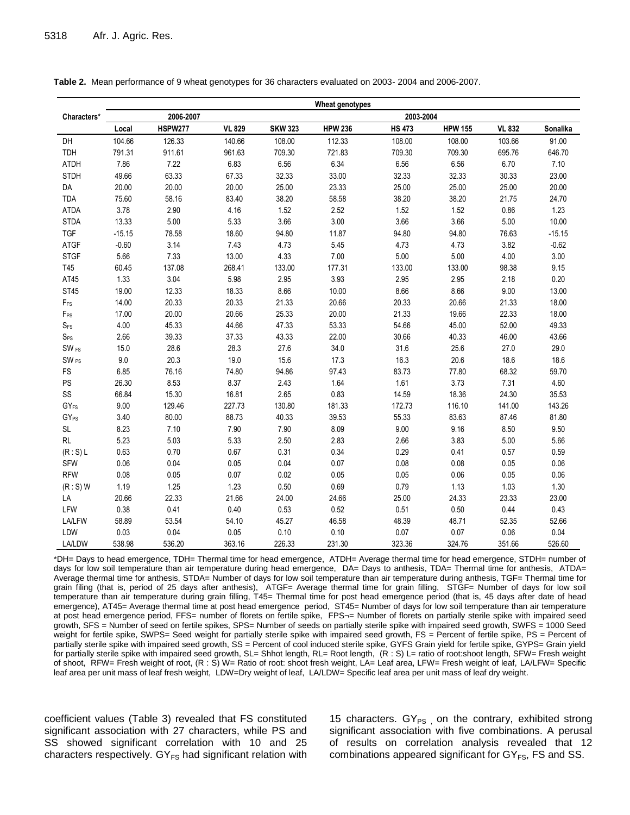|                   |          |                |               |                | Wheat genotypes |               |                |               |          |
|-------------------|----------|----------------|---------------|----------------|-----------------|---------------|----------------|---------------|----------|
| Characters*       |          | 2006-2007      |               |                |                 | 2003-2004     |                |               |          |
|                   | Local    | <b>HSPW277</b> | <b>VL 829</b> | <b>SKW 323</b> | <b>HPW 236</b>  | <b>HS 473</b> | <b>HPW 155</b> | <b>VL 832</b> | Sonalika |
| DH                | 104.66   | 126.33         | 140.66        | 108.00         | 112.33          | 108.00        | 108.00         | 103.66        | 91.00    |
| <b>TDH</b>        | 791.31   | 911.61         | 961.63        | 709.30         | 721.83          | 709.30        | 709.30         | 695.76        | 646.70   |
| <b>ATDH</b>       | 7.86     | 7.22           | 6.83          | 6.56           | 6.34            | 6.56          | 6.56           | 6.70          | 7.10     |
| <b>STDH</b>       | 49.66    | 63.33          | 67.33         | 32.33          | 33.00           | 32.33         | 32.33          | 30.33         | 23.00    |
| DA                | 20.00    | 20.00          | 20.00         | 25.00          | 23.33           | 25.00         | 25.00          | 25.00         | 20.00    |
| <b>TDA</b>        | 75.60    | 58.16          | 83.40         | 38.20          | 58.58           | 38.20         | 38.20          | 21.75         | 24.70    |
| <b>ATDA</b>       | 3.78     | 2.90           | 4.16          | 1.52           | 2.52            | 1.52          | 1.52           | 0.86          | 1.23     |
| <b>STDA</b>       | 13.33    | 5.00           | 5.33          | 3.66           | 3.00            | 3.66          | 3.66           | 5.00          | 10.00    |
| <b>TGF</b>        | $-15.15$ | 78.58          | 18.60         | 94.80          | 11.87           | 94.80         | 94.80          | 76.63         | $-15.15$ |
| <b>ATGF</b>       | $-0.60$  | 3.14           | 7.43          | 4.73           | 5.45            | 4.73          | 4.73           | 3.82          | $-0.62$  |
| <b>STGF</b>       | 5.66     | 7.33           | 13.00         | 4.33           | 7.00            | 5.00          | 5.00           | 4.00          | 3.00     |
| T45               | 60.45    | 137.08         | 268.41        | 133.00         | 177.31          | 133.00        | 133.00         | 98.38         | 9.15     |
| AT45              | 1.33     | 3.04           | 5.98          | 2.95           | 3.93            | 2.95          | 2.95           | 2.18          | 0.20     |
| <b>ST45</b>       | 19.00    | 12.33          | 18.33         | 8.66           | 10.00           | 8.66          | 8.66           | 9.00          | 13.00    |
| $F_{FS}$          | 14.00    | 20.33          | 20.33         | 21.33          | 20.66           | 20.33         | 20.66          | 21.33         | 18.00    |
| $F_{PS}$          | 17.00    | 20.00          | 20.66         | 25.33          | 20.00           | 21.33         | 19.66          | 22.33         | 18.00    |
| $S_{\mathsf{FS}}$ | 4.00     | 45.33          | 44.66         | 47.33          | 53.33           | 54.66         | 45.00          | 52.00         | 49.33    |
| $S_{PS}$          | 2.66     | 39.33          | 37.33         | 43.33          | 22.00           | 30.66         | 40.33          | 46.00         | 43.66    |
| SW <sub>FS</sub>  | 15.0     | 28.6           | 28.3          | 27.6           | 34.0            | 31.6          | 25.6           | 27.0          | 29.0     |
| SW <sub>PS</sub>  | 9.0      | 20.3           | 19.0          | 15.6           | 17.3            | 16.3          | 20.6           | 18.6          | 18.6     |
| FS                | 6.85     | 76.16          | 74.80         | 94.86          | 97.43           | 83.73         | 77.80          | 68.32         | 59.70    |
| PS                | 26.30    | 8.53           | 8.37          | 2.43           | 1.64            | 1.61          | 3.73           | 7.31          | 4.60     |
| SS                | 66.84    | 15.30          | 16.81         | 2.65           | 0.83            | 14.59         | 18.36          | 24.30         | 35.53    |
| GY <sub>FS</sub>  | 9.00     | 129.46         | 227.73        | 130.80         | 181.33          | 172.73        | 116.10         | 141.00        | 143.26   |
| GY <sub>PS</sub>  | 3.40     | 80.00          | 88.73         | 40.33          | 39.53           | 55.33         | 83.63          | 87.46         | 81.80    |
| <b>SL</b>         | 8.23     | 7.10           | 7.90          | 7.90           | 8.09            | 9.00          | 9.16           | 8.50          | 9.50     |
| <b>RL</b>         | 5.23     | 5.03           | 5.33          | 2.50           | 2.83            | 2.66          | 3.83           | 5.00          | 5.66     |
| (R: S) L          | 0.63     | 0.70           | 0.67          | 0.31           | 0.34            | 0.29          | 0.41           | 0.57          | 0.59     |
| <b>SFW</b>        | 0.06     | 0.04           | 0.05          | 0.04           | 0.07            | 0.08          | 0.08           | 0.05          | 0.06     |
| <b>RFW</b>        | 0.08     | 0.05           | 0.07          | 0.02           | 0.05            | 0.05          | 0.06           | 0.05          | 0.06     |
| $(R: S)$ W        | 1.19     | 1.25           | 1.23          | 0.50           | 0.69            | 0.79          | 1.13           | 1.03          | 1.30     |
| LA                | 20.66    | 22.33          | 21.66         | 24.00          | 24.66           | 25.00         | 24.33          | 23.33         | 23.00    |
| LFW               | 0.38     | 0.41           | 0.40          | 0.53           | 0.52            | 0.51          | 0.50           | 0.44          | 0.43     |
| <b>LA/LFW</b>     | 58.89    | 53.54          | 54.10         | 45.27          | 46.58           | 48.39         | 48.71          | 52.35         | 52.66    |
| LDW               | 0.03     | 0.04           | 0.05          | 0.10           | 0.10            | 0.07          | 0.07           | 0.06          | 0.04     |
| LA/LDW            | 538.98   | 536.20         | 363.16        | 226.33         | 231.30          | 323.36        | 324.76         | 351.66        | 526.60   |

**Table 2.** Mean performance of 9 wheat genotypes for 36 characters evaluated on 2003- 2004 and 2006-2007.

\*DH= Days to head emergence, TDH= Thermal time for head emergence, ATDH= Average thermal time for head emergence, STDH= number of days for low soil temperature than air temperature during head emergence, DA= Days to anthesis, TDA= Thermal time for anthesis, ATDA= Average thermal time for anthesis, STDA= Number of days for low soil temperature than air temperature during anthesis, TGF= Thermal time for grain filing (that is, period of 25 days after anthesis), ATGF= Average thermal time for grain filling, STGF= Number of days for low soil temperature than air temperature during grain filling, T45= Thermal time for post head emergence period (that is, 45 days after date of head emergence), AT45= Average thermal time at post head emergence period, ST45= Number of days for low soil temperature than air temperature at post head emergence period, FFS= number of florets on fertile spike, FPS¬= Number of florets on partially sterile spike with impaired seed growth, SFS = Number of seed on fertile spikes, SPS= Number of seeds on partially sterile spike with impaired seed growth, SWFS = 1000 Seed weight for fertile spike, SWPS= Seed weight for partially sterile spike with impaired seed growth, FS = Percent of fertile spike, PS = Percent of partially sterile spike with impaired seed growth, SS = Percent of cool induced sterile spike, GYFS Grain yield for fertile spike, GYPS= Grain yield for partially sterile spike with impaired seed growth, SL= Shhot length, RL= Root length, (R : S) L= ratio of root:shoot length, SFW= Fresh weight of shoot, RFW= Fresh weight of root, (R : S) W= Ratio of root: shoot fresh weight, LA= Leaf area, LFW= Fresh weight of leaf, LA/LFW= Specific leaf area per unit mass of leaf fresh weight, LDW=Dry weight of leaf, LA/LDW= Specific leaf area per unit mass of leaf dry weight.

coefficient values (Table 3) revealed that FS constituted significant association with 27 characters, while PS and SS showed significant correlation with 10 and 25 characters respectively.  $GY_{FS}$  had significant relation with

15 characters.  $GY_{PS}$  on the contrary, exhibited strong significant association with five combinations. A perusal of results on correlation analysis revealed that 12 combinations appeared significant for  $GY_{FS}$ , FS and SS.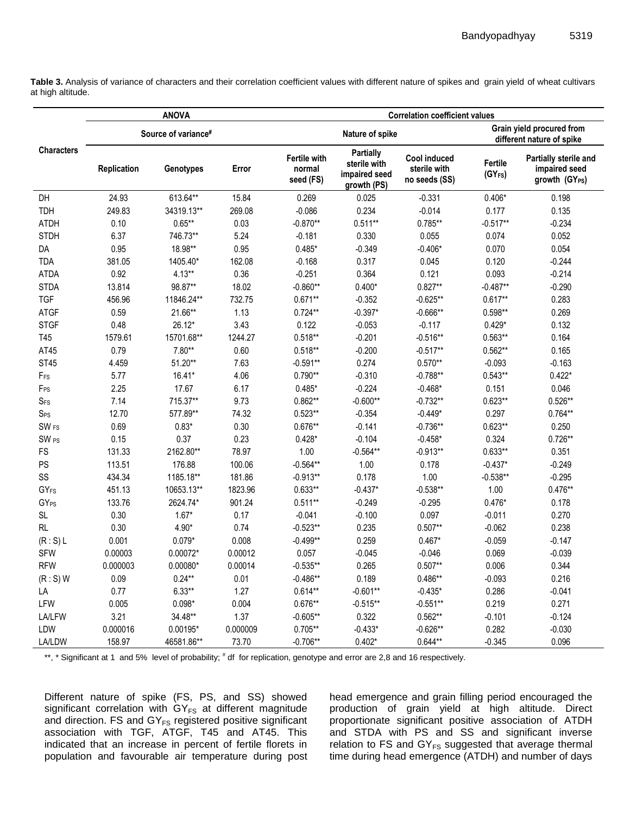**Table 3.** Analysis of variance of characters and their correlation coefficient values with different nature of spikes and grain yield of wheat cultivars at high altitude.

|                   |             | <b>ANOVA</b>        |          |                                            |                                                                  | <b>Correlation coefficient values</b>         |                                |                                                                      |
|-------------------|-------------|---------------------|----------|--------------------------------------------|------------------------------------------------------------------|-----------------------------------------------|--------------------------------|----------------------------------------------------------------------|
|                   |             | Source of variance# |          |                                            | Nature of spike                                                  |                                               |                                | Grain yield procured from<br>different nature of spike               |
| <b>Characters</b> | Replication | Genotypes           | Error    | <b>Fertile with</b><br>normal<br>seed (FS) | <b>Partially</b><br>sterile with<br>impaired seed<br>growth (PS) | Cool induced<br>sterile with<br>no seeds (SS) | Fertile<br>(GY <sub>FS</sub> ) | Partially sterile and<br>impaired seed<br>growth (GY <sub>PS</sub> ) |
| DH                | 24.93       | 613.64**            | 15.84    | 0.269                                      | 0.025                                                            | $-0.331$                                      | $0.406*$                       | 0.198                                                                |
| <b>TDH</b>        | 249.83      | 34319.13**          | 269.08   | $-0.086$                                   | 0.234                                                            | $-0.014$                                      | 0.177                          | 0.135                                                                |
| <b>ATDH</b>       | 0.10        | $0.65**$            | 0.03     | $-0.870**$                                 | $0.511**$                                                        | $0.785**$                                     | $-0.517**$                     | $-0.234$                                                             |
| <b>STDH</b>       | 6.37        | 746.73**            | 5.24     | $-0.181$                                   | 0.330                                                            | 0.055                                         | 0.074                          | 0.052                                                                |
| DA                | 0.95        | 18.98**             | 0.95     | $0.485*$                                   | $-0.349$                                                         | $-0.406*$                                     | 0.070                          | 0.054                                                                |
| <b>TDA</b>        | 381.05      | 1405.40*            | 162.08   | $-0.168$                                   | 0.317                                                            | 0.045                                         | 0.120                          | $-0.244$                                                             |
| <b>ATDA</b>       | 0.92        | $4.13**$            | 0.36     | $-0.251$                                   | 0.364                                                            | 0.121                                         | 0.093                          | $-0.214$                                                             |
| <b>STDA</b>       | 13.814      | 98.87**             | 18.02    | $-0.860**$                                 | $0.400*$                                                         | $0.827**$                                     | $-0.487**$                     | $-0.290$                                                             |
| <b>TGF</b>        | 456.96      | 11846.24**          | 732.75   | $0.671**$                                  | $-0.352$                                                         | $-0.625**$                                    | $0.617**$                      | 0.283                                                                |
| <b>ATGF</b>       | 0.59        | 21.66**             | 1.13     | $0.724**$                                  | $-0.397*$                                                        | $-0.666**$                                    | $0.598**$                      | 0.269                                                                |
| <b>STGF</b>       | 0.48        | 26.12*              | 3.43     | 0.122                                      | $-0.053$                                                         | $-0.117$                                      | $0.429*$                       | 0.132                                                                |
| T45               | 1579.61     | 15701.68**          | 1244.27  | $0.518**$                                  | $-0.201$                                                         | $-0.516**$                                    | $0.563**$                      | 0.164                                                                |
| AT45              | 0.79        | $7.80**$            | 0.60     | $0.518**$                                  | $-0.200$                                                         | $-0.517**$                                    | $0.562**$                      | 0.165                                                                |
| <b>ST45</b>       | 4.459       | $51.20**$           | 7.63     | $-0.591**$                                 | 0.274                                                            | $0.570**$                                     | $-0.093$                       | $-0.163$                                                             |
| FFS               | 5.77        | $16.41*$            | 4.06     | $0.790**$                                  | $-0.310$                                                         | $-0.788**$                                    | $0.543**$                      | $0.422*$                                                             |
| F <sub>PS</sub>   | 2.25        | 17.67               | 6.17     | $0.485*$                                   | $-0.224$                                                         | $-0.468*$                                     | 0.151                          | 0.046                                                                |
| $S_{FS}$          | 7.14        | 715.37**            | 9.73     | $0.862**$                                  | $-0.600**$                                                       | $-0.732**$                                    | $0.623**$                      | $0.526**$                                                            |
| $S_{PS}$          | 12.70       | 577.89**            | 74.32    | $0.523**$                                  | $-0.354$                                                         | $-0.449*$                                     | 0.297                          | $0.764**$                                                            |
| SW <sub>FS</sub>  | 0.69        | $0.83*$             | 0.30     | $0.676**$                                  | $-0.141$                                                         | $-0.736**$                                    | $0.623**$                      | 0.250                                                                |
| SW <sub>PS</sub>  | 0.15        | 0.37                | 0.23     | $0.428*$                                   | $-0.104$                                                         | $-0.458*$                                     | 0.324                          | $0.726**$                                                            |
| FS                | 131.33      | 2162.80**           | 78.97    | 1.00                                       | $-0.564**$                                                       | $-0.913**$                                    | $0.633**$                      | 0.351                                                                |
| PS                | 113.51      | 176.88              | 100.06   | $-0.564**$                                 | 1.00                                                             | 0.178                                         | $-0.437*$                      | $-0.249$                                                             |
| SS                | 434.34      | 1185.18**           | 181.86   | $-0.913**$                                 | 0.178                                                            | 1.00                                          | $-0.538**$                     | $-0.295$                                                             |
| GY <sub>FS</sub>  | 451.13      | 10653.13**          | 1823.96  | $0.633**$                                  | $-0.437*$                                                        | $-0.538**$                                    | 1.00                           | $0.476**$                                                            |
| GY <sub>PS</sub>  | 133.76      | 2624.74*            | 901.24   | $0.511***$                                 | $-0.249$                                                         | $-0.295$                                      | $0.476*$                       | 0.178                                                                |
| <b>SL</b>         | 0.30        | $1.67*$             | 0.17     | $-0.041$                                   | $-0.100$                                                         | 0.097                                         | $-0.011$                       | 0.270                                                                |
| RL                | 0.30        | $4.90*$             | 0.74     | $-0.523**$                                 | 0.235                                                            | $0.507**$                                     | $-0.062$                       | 0.238                                                                |
| (R: S) L          | 0.001       | $0.079*$            | 0.008    | $-0.499**$                                 | 0.259                                                            | $0.467*$                                      | $-0.059$                       | $-0.147$                                                             |
| <b>SFW</b>        | 0.00003     | $0.00072*$          | 0.00012  | 0.057                                      | $-0.045$                                                         | $-0.046$                                      | 0.069                          | $-0.039$                                                             |
| <b>RFW</b>        | 0.000003    | $0.00080*$          | 0.00014  | $-0.535**$                                 | 0.265                                                            | $0.507**$                                     | 0.006                          | 0.344                                                                |
| $(R: S)$ W        | 0.09        | $0.24**$            | 0.01     | $-0.486**$                                 | 0.189                                                            | $0.486**$                                     | $-0.093$                       | 0.216                                                                |
| LA                | 0.77        | $6.33**$            | 1.27     | $0.614**$                                  | $-0.601**$                                                       | $-0.435*$                                     | 0.286                          | $-0.041$                                                             |
| LFW               | 0.005       | $0.098*$            | 0.004    | $0.676**$                                  | $-0.515**$                                                       | $-0.551**$                                    | 0.219                          | 0.271                                                                |
| LA/LFW            | 3.21        | 34.48**             | 1.37     | $-0.605**$                                 | 0.322                                                            | $0.562**$                                     | $-0.101$                       | $-0.124$                                                             |
| LDW               | 0.000016    | 0.00195*            | 0.000009 | $0.705***$                                 | $-0.433*$                                                        | $-0.626**$                                    | 0.282                          | $-0.030$                                                             |
| LA/LDW            | 158.97      | 46581.86**          | 73.70    | $-0.706**$                                 | $0.402*$                                                         | $0.644**$                                     | $-0.345$                       | 0.096                                                                |

\*\*, \* Significant at 1 and 5% level of probability; # df for replication, genotype and error are 2,8 and 16 respectively.

Different nature of spike (FS, PS, and SS) showed significant correlation with  $GY_{FS}$  at different magnitude and direction. FS and  $GY_{FS}$  registered positive significant association with TGF, ATGF, T45 and AT45. This indicated that an increase in percent of fertile florets in population and favourable air temperature during post

head emergence and grain filling period encouraged the production of grain yield at high altitude. Direct proportionate significant positive association of ATDH and STDA with PS and SS and significant inverse relation to FS and  $GY_{FS}$  suggested that average thermal time during head emergence (ATDH) and number of days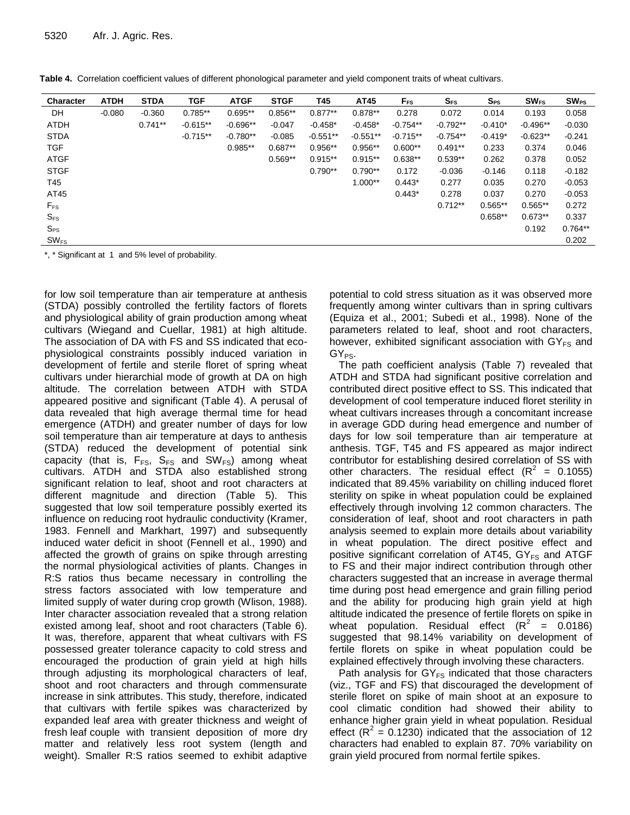| <b>Character</b> | <b>ATDH</b> | <b>STDA</b> | <b>TGF</b> | <b>ATGF</b> | <b>STGF</b> | T45        | AT45       | $F_{FS}$   | $\mathbf{S}_{\texttt{FS}}$ | $S_{PS}$  | $SW_{FS}$  | $SW_{PS}$ |
|------------------|-------------|-------------|------------|-------------|-------------|------------|------------|------------|----------------------------|-----------|------------|-----------|
| DH               | $-0.080$    | $-0.360$    | $0.785**$  | $0.695**$   | $0.856**$   | $0.877**$  | $0.878**$  | 0.278      | 0.072                      | 0.014     | 0.193      | 0.058     |
| <b>ATDH</b>      |             | $0.741**$   | $-0.615**$ | $-0.696**$  | $-0.047$    | $-0.458*$  | $-0.458*$  | $-0.754**$ | $-0.792**$                 | $-0.410*$ | $-0.496**$ | $-0.030$  |
| <b>STDA</b>      |             |             | $-0.715**$ | $-0.780**$  | $-0.085$    | $-0.551**$ | $-0.551**$ | $-0.715**$ | $-0.754**$                 | $-0.419*$ | $-0.623**$ | $-0.241$  |
| <b>TGF</b>       |             |             |            | $0.985**$   | $0.687**$   | $0.956**$  | $0.956**$  | $0.600**$  | $0.491**$                  | 0.233     | 0.374      | 0.046     |
| <b>ATGF</b>      |             |             |            |             | $0.569**$   | $0.915**$  | $0.915**$  | $0.638**$  | $0.539**$                  | 0.262     | 0.378      | 0.052     |
| <b>STGF</b>      |             |             |            |             |             | $0.790**$  | $0.790**$  | 0.172      | $-0.036$                   | $-0.146$  | 0.118      | $-0.182$  |
| T45              |             |             |            |             |             |            | $1.000**$  | $0.443*$   | 0.277                      | 0.035     | 0.270      | $-0.053$  |
| AT45             |             |             |            |             |             |            |            | $0.443*$   | 0.278                      | 0.037     | 0.270      | $-0.053$  |
| $F_{FS}$         |             |             |            |             |             |            |            |            | $0.712**$                  | $0.565**$ | $0.565**$  | 0.272     |
| $S_{FS}$         |             |             |            |             |             |            |            |            |                            | $0.658**$ | $0.673**$  | 0.337     |
| $S_{PS}$         |             |             |            |             |             |            |            |            |                            |           | 0.192      | $0.764**$ |
| $SW_{FS}$        |             |             |            |             |             |            |            |            |                            |           |            | 0.202     |

**Table 4.** Correlation coefficient values of different phonological parameter and yield component traits of wheat cultivars.

\*, \* Significant at 1 and 5% level of probability.

for low soil temperature than air temperature at anthesis (STDA) possibly controlled the fertility factors of florets and physiological ability of grain production among wheat cultivars (Wiegand and Cuellar, 1981) at high altitude. The association of DA with FS and SS indicated that ecophysiological constraints possibly induced variation in development of fertile and sterile floret of spring wheat cultivars under hierarchial mode of growth at DA on high altitude. The correlation between ATDH with STDA appeared positive and significant (Table 4). A perusal of data revealed that high average thermal time for head emergence (ATDH) and greater number of days for low soil temperature than air temperature at days to anthesis (STDA) reduced the development of potential sink capacity (that is,  $F_{FS}$ ,  $S_{FS}$  and  $SW_{FS}$ ) among wheat cultivars. ATDH and STDA also established strong significant relation to leaf, shoot and root characters at different magnitude and direction (Table 5). This suggested that low soil temperature possibly exerted its influence on reducing root hydraulic conductivity (Kramer, 1983. Fennell and Markhart, 1997) and subsequently induced water deficit in shoot (Fennell et al., 1990) and affected the growth of grains on spike through arresting the normal physiological activities of plants. Changes in R:S ratios thus became necessary in controlling the stress factors associated with low temperature and limited supply of water during crop growth (Wlison, 1988). Inter character association revealed that a strong relation existed among leaf, shoot and root characters (Table 6). It was, therefore, apparent that wheat cultivars with FS possessed greater tolerance capacity to cold stress and encouraged the production of grain yield at high hills through adjusting its morphological characters of leaf, shoot and root characters and through commensurate increase in sink attributes. This study, therefore, indicated that cultivars with fertile spikes was characterized by expanded leaf area with greater thickness and weight of fresh leaf couple with transient deposition of more dry matter and relatively less root system (length and weight). Smaller R:S ratios seemed to exhibit adaptive

potential to cold stress situation as it was observed more frequently among winter cultivars than in spring cultivars (Equiza et al., 2001; Subedi et al., 1998). None of the parameters related to leaf, shoot and root characters, however, exhibited significant association with  $GY_{FS}$  and  $GY_{PS}$ .

The path coefficient analysis (Table 7) revealed that ATDH and STDA had significant positive correlation and contributed direct positive effect to SS. This indicated that development of cool temperature induced floret sterility in wheat cultivars increases through a concomitant increase in average GDD during head emergence and number of days for low soil temperature than air temperature at anthesis. TGF, T45 and FS appeared as major indirect contributor for establishing desired correlation of SS with other characters. The residual effect  $(R^2 = 0.1055)$ indicated that 89.45% variability on chilling induced floret sterility on spike in wheat population could be explained effectively through involving 12 common characters. The consideration of leaf, shoot and root characters in path analysis seemed to explain more details about variability in wheat population. The direct positive effect and positive significant correlation of AT45,  $GY_{FS}$  and ATGF to FS and their major indirect contribution through other characters suggested that an increase in average thermal time during post head emergence and grain filling period and the ability for producing high grain yield at high altitude indicated the presence of fertile florets on spike in wheat population. Residual effect  $(R^2 = 0.0186)$ suggested that 98.14% variability on development of fertile florets on spike in wheat population could be explained effectively through involving these characters.

Path analysis for  $GY_{FS}$  indicated that those characters (viz., TGF and FS) that discouraged the development of sterile floret on spike of main shoot at an exposure to cool climatic condition had showed their ability to enhance higher grain yield in wheat population. Residual effect ( $R^2$  = 0.1230) indicated that the association of 12 characters had enabled to explain 87. 70% variability on grain yield procured from normal fertile spikes.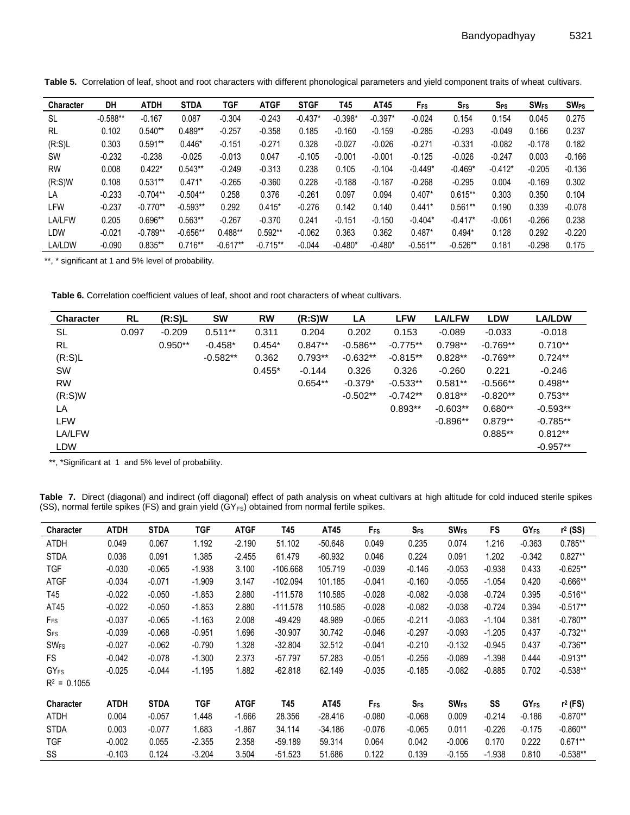| <b>Character</b> | DH         | <b>ATDH</b> | <b>STDA</b> | TGF        | <b>ATGF</b> | <b>STGF</b> | T45       | AT45      | F <sub>FS</sub> | $S_{FS}$   | $S_{PS}$  | <b>SW<sub>FS</sub></b> | <b>SW<sub>PS</sub></b> |
|------------------|------------|-------------|-------------|------------|-------------|-------------|-----------|-----------|-----------------|------------|-----------|------------------------|------------------------|
| SL               | $-0.588**$ | $-0.167$    | 0.087       | $-0.304$   | $-0.243$    | $-0.437*$   | $-0.398*$ | $-0.397*$ | $-0.024$        | 0.154      | 0.154     | 0.045                  | 0.275                  |
| <b>RL</b>        | 0.102      | $0.540**$   | $0.489**$   | $-0.257$   | $-0.358$    | 0.185       | $-0.160$  | $-0.159$  | $-0.285$        | $-0.293$   | $-0.049$  | 0.166                  | 0.237                  |
| $(R:S)$ L        | 0.303      | $0.591***$  | $0.446*$    | $-0.151$   | $-0.271$    | 0.328       | $-0.027$  | $-0.026$  | $-0.271$        | $-0.331$   | $-0.082$  | $-0.178$               | 0.182                  |
| <b>SW</b>        | $-0.232$   | $-0.238$    | $-0.025$    | $-0.013$   | 0.047       | $-0.105$    | $-0.001$  | $-0.001$  | $-0.125$        | $-0.026$   | $-0.247$  | 0.003                  | $-0.166$               |
| <b>RW</b>        | 0.008      | $0.422*$    | $0.543**$   | $-0.249$   | $-0.313$    | 0.238       | 0.105     | $-0.104$  | $-0.449*$       | $-0.469*$  | $-0.412*$ | $-0.205$               | $-0.136$               |
| (R:S)W           | 0.108      | $0.531**$   | $0.471*$    | $-0.265$   | $-0.360$    | 0.228       | $-0.188$  | $-0.187$  | $-0.268$        | $-0.295$   | 0.004     | $-0.169$               | 0.302                  |
| LA               | $-0.233$   | $-0.704**$  | $-0.504**$  | 0.258      | 0.376       | $-0.261$    | 0.097     | 0.094     | $0.407*$        | $0.615**$  | 0.303     | 0.350                  | 0.104                  |
| LFW              | $-0.237$   | $-0.770**$  | $-0.593**$  | 0.292      | $0.415*$    | $-0.276$    | 0.142     | 0.140     | $0.441*$        | $0.561**$  | 0.190     | 0.339                  | $-0.078$               |
| <b>LA/LFW</b>    | 0.205      | 0.696**     | $0.563**$   | $-0.267$   | $-0.370$    | 0.241       | $-0.151$  | $-0.150$  | $-0.404*$       | $-0.417*$  | $-0.061$  | $-0.266$               | 0.238                  |
| LDW              | $-0.021$   | $-0.789**$  | $-0.656**$  | $0.488**$  | $0.592**$   | $-0.062$    | 0.363     | 0.362     | $0.487*$        | $0.494*$   | 0.128     | 0.292                  | $-0.220$               |
| LA/LDW           | $-0.090$   | $0.835**$   | $0.716**$   | $-0.617**$ | $-0.715**$  | $-0.044$    | $-0.480*$ | $-0.480*$ | $-0.551**$      | $-0.526**$ | 0.181     | $-0.298$               | 0.175                  |

**Table 5.** Correlation of leaf, shoot and root characters with different phonological parameters and yield component traits of wheat cultivars.

\*\*, \* significant at 1 and 5% level of probability.

**Table 6.** Correlation coefficient values of leaf, shoot and root characters of wheat cultivars.

| <b>Character</b> | <b>RL</b> | (R:S)L    | <b>SW</b>  | <b>RW</b> | (R:S)W    | LA         | <b>LFW</b> | <b>LA/LFW</b> | <b>LDW</b> | <b>LA/LDW</b> |
|------------------|-----------|-----------|------------|-----------|-----------|------------|------------|---------------|------------|---------------|
| SL               | 0.097     | $-0.209$  | $0.511**$  | 0.311     | 0.204     | 0.202      | 0.153      | $-0.089$      | $-0.033$   | $-0.018$      |
| <b>RL</b>        |           | $0.950**$ | $-0.458*$  | $0.454*$  | $0.847**$ | $-0.586**$ | $-0.775**$ | $0.798**$     | $-0.769**$ | $0.710**$     |
| (R:S)L           |           |           | $-0.582**$ | 0.362     | $0.793**$ | $-0.632**$ | $-0.815**$ | $0.828**$     | $-0.769**$ | $0.724**$     |
| <b>SW</b>        |           |           |            | $0.455*$  | $-0.144$  | 0.326      | 0.326      | $-0.260$      | 0.221      | $-0.246$      |
| <b>RW</b>        |           |           |            |           | $0.654**$ | $-0.379*$  | $-0.533**$ | $0.581**$     | $-0.566**$ | $0.498**$     |
| (R: S)W          |           |           |            |           |           | $-0.502**$ | $-0.742**$ | $0.818**$     | $-0.820**$ | $0.753**$     |
| LA               |           |           |            |           |           |            | $0.893**$  | $-0.603**$    | $0.680**$  | $-0.593**$    |
| <b>LFW</b>       |           |           |            |           |           |            |            | $-0.896**$    | $0.879**$  | $-0.785**$    |
| LA/LFW           |           |           |            |           |           |            |            |               | $0.885**$  | $0.812**$     |
| <b>LDW</b>       |           |           |            |           |           |            |            |               |            | $-0.957**$    |

\*\*, \*Significant at 1 and 5% level of probability.

Ĭ.

**Table 7.** Direct (diagonal) and indirect (off diagonal) effect of path analysis on wheat cultivars at high altitude for cold induced sterile spikes (SS), normal fertile spikes (FS) and grain yield  $(GY_{FS})$  obtained from normal fertile spikes.

| <b>Character</b>       | ATDH        | <b>STDA</b> | TGF        | <b>ATGF</b> | T45        | AT45      | Frs      | <b>SFS</b> | <b>SW<sub>FS</sub></b> | FS       | <b>GY<sub>FS</sub></b> | $r^2$ (SS) |
|------------------------|-------------|-------------|------------|-------------|------------|-----------|----------|------------|------------------------|----------|------------------------|------------|
| <b>ATDH</b>            | 0.049       | 0.067       | 1.192      | $-2.190$    | 51.102     | $-50.648$ | 0.049    | 0.235      | 0.074                  | 1.216    | $-0.363$               | $0.785***$ |
| <b>STDA</b>            | 0.036       | 0.091       | 1.385      | $-2.455$    | 61.479     | $-60.932$ | 0.046    | 0.224      | 0.091                  | 1.202    | $-0.342$               | $0.827**$  |
| <b>TGF</b>             | $-0.030$    | $-0.065$    | $-1.938$   | 3.100       | $-106.668$ | 105.719   | $-0.039$ | $-0.146$   | $-0.053$               | $-0.938$ | 0.433                  | $-0.625**$ |
| <b>ATGF</b>            | $-0.034$    | $-0.071$    | $-1.909$   | 3.147       | $-102.094$ | 101.185   | $-0.041$ | $-0.160$   | $-0.055$               | $-1.054$ | 0.420                  | $-0.666**$ |
| T45                    | $-0.022$    | $-0.050$    | $-1.853$   | 2.880       | $-111.578$ | 110.585   | $-0.028$ | $-0.082$   | $-0.038$               | $-0.724$ | 0.395                  | $-0.516**$ |
| AT45                   | $-0.022$    | $-0.050$    | $-1.853$   | 2.880       | $-111.578$ | 110.585   | $-0.028$ | $-0.082$   | $-0.038$               | $-0.724$ | 0.394                  | $-0.517**$ |
| F <sub>FS</sub>        | $-0.037$    | $-0.065$    | $-1.163$   | 2.008       | -49.429    | 48.989    | $-0.065$ | $-0.211$   | $-0.083$               | $-1.104$ | 0.381                  | $-0.780**$ |
| $S_{FS}$               | $-0.039$    | $-0.068$    | $-0.951$   | 1.696       | $-30.907$  | 30.742    | $-0.046$ | $-0.297$   | $-0.093$               | $-1.205$ | 0.437                  | $-0.732**$ |
| <b>SW<sub>FS</sub></b> | $-0.027$    | $-0.062$    | $-0.790$   | 1.328       | $-32.804$  | 32.512    | $-0.041$ | $-0.210$   | $-0.132$               | $-0.945$ | 0.437                  | $-0.736**$ |
| <b>FS</b>              | $-0.042$    | $-0.078$    | $-1.300$   | 2.373       | $-57.797$  | 57.283    | $-0.051$ | $-0.256$   | $-0.089$               | $-1.398$ | 0.444                  | $-0.913**$ |
| <b>GYFS</b>            | $-0.025$    | $-0.044$    | $-1.195$   | 1.882       | $-62.818$  | 62.149    | $-0.035$ | $-0.185$   | $-0.082$               | $-0.885$ | 0.702                  | $-0.538**$ |
| $R^2 = 0.1055$         |             |             |            |             |            |           |          |            |                        |          |                        |            |
| <b>Character</b>       | <b>ATDH</b> | <b>STDA</b> | <b>TGF</b> | <b>ATGF</b> | T45        | AT45      | Frs      | $S_{FS}$   | <b>SW<sub>FS</sub></b> | SS       | <b>GY<sub>FS</sub></b> | $r2$ (FS)  |
| ATDH                   | 0.004       | $-0.057$    | 1.448      | $-1.666$    | 28.356     | $-28.416$ | $-0.080$ | $-0.068$   | 0.009                  | $-0.214$ | $-0.186$               | $-0.870**$ |
| <b>STDA</b>            | 0.003       | $-0.077$    | 1.683      | $-1.867$    | 34.114     | $-34.186$ | $-0.076$ | $-0.065$   | 0.011                  | $-0.226$ | $-0.175$               | $-0.860**$ |
| <b>TGF</b>             | $-0.002$    | 0.055       | $-2.355$   | 2.358       | $-59.189$  | 59.314    | 0.064    | 0.042      | $-0.006$               | 0.170    | 0.222                  | $0.671**$  |
| SS                     | $-0.103$    | 0.124       | $-3.204$   | 3.504       | $-51.523$  | 51.686    | 0.122    | 0.139      | $-0.155$               | $-1.938$ | 0.810                  | $-0.538**$ |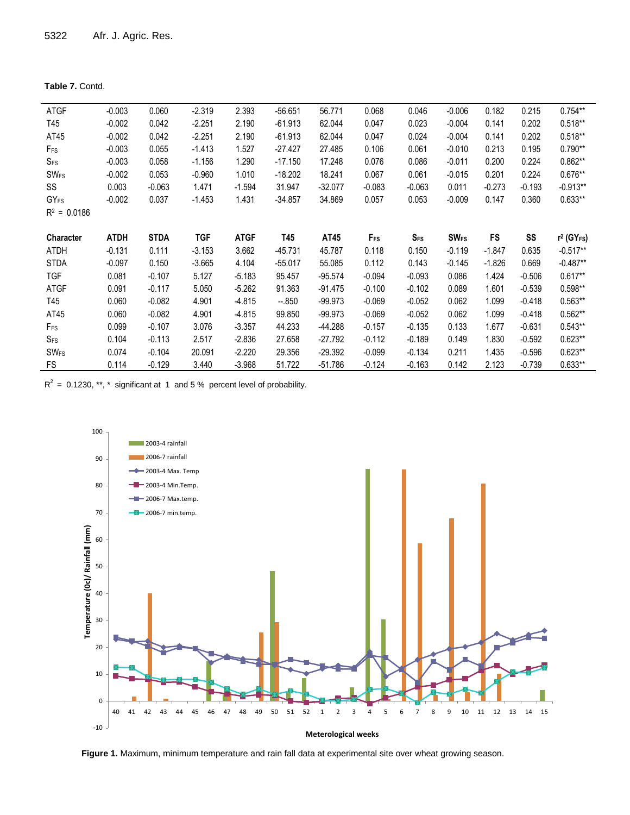| <b>Table 7.</b> Contd. |  |
|------------------------|--|
|------------------------|--|

| <b>ATGF</b>            | $-0.003$    | 0.060       | $-2.319$ | 2.393       | $-56.651$ | 56.771    | 0.068           | 0.046      | $-0.006$               | 0.182     | 0.215    | $0.754**$                 |
|------------------------|-------------|-------------|----------|-------------|-----------|-----------|-----------------|------------|------------------------|-----------|----------|---------------------------|
| T45                    | $-0.002$    | 0.042       | $-2.251$ | 2.190       | $-61.913$ | 62.044    | 0.047           | 0.023      | $-0.004$               | 0.141     | 0.202    | $0.518**$                 |
| AT45                   | $-0.002$    | 0.042       | $-2.251$ | 2.190       | $-61.913$ | 62.044    | 0.047           | 0.024      | $-0.004$               | 0.141     | 0.202    | $0.518**$                 |
| $F_{FS}$               | $-0.003$    | 0.055       | $-1.413$ | 1.527       | $-27.427$ | 27.485    | 0.106           | 0.061      | $-0.010$               | 0.213     | 0.195    | $0.790**$                 |
| $S_{FS}$               | $-0.003$    | 0.058       | $-1.156$ | 1.290       | $-17.150$ | 17.248    | 0.076           | 0.086      | $-0.011$               | 0.200     | 0.224    | $0.862**$                 |
| <b>SW<sub>FS</sub></b> | $-0.002$    | 0.053       | $-0.960$ | 1.010       | $-18.202$ | 18.241    | 0.067           | 0.061      | $-0.015$               | 0.201     | 0.224    | $0.676**$                 |
| SS                     | 0.003       | $-0.063$    | 1.471    | $-1.594$    | 31.947    | -32.077   | $-0.083$        | $-0.063$   | 0.011                  | $-0.273$  | $-0.193$ | $-0.913**$                |
| $GY_{FS}$              | $-0.002$    | 0.037       | $-1.453$ | 1.431       | $-34.857$ | 34.869    | 0.057           | 0.053      | $-0.009$               | 0.147     | 0.360    | $0.633**$                 |
| $R^2 = 0.0186$         |             |             |          |             |           |           |                 |            |                        |           |          |                           |
|                        |             |             |          |             |           |           |                 |            |                        |           |          |                           |
| Character              | <b>ATDH</b> | <b>STDA</b> | TGF      | <b>ATGF</b> | T45       | AT45      | F <sub>FS</sub> | <b>SFS</b> | <b>SW<sub>FS</sub></b> | <b>FS</b> | SS       | $r^2$ (GY <sub>FS</sub> ) |
| ATDH                   | $-0.131$    | 0.111       | $-3.153$ | 3.662       | $-45.731$ | 45.787    | 0.118           | 0.150      | $-0.119$               | $-1.847$  | 0.635    | $-0.517**$                |
| <b>STDA</b>            | $-0.097$    | 0.150       | $-3.665$ | 4.104       | $-55.017$ | 55.085    | 0.112           | 0.143      | $-0.145$               | $-1.826$  | 0.669    | $-0.487**$                |
| <b>TGF</b>             | 0.081       | $-0.107$    | 5.127    | $-5.183$    | 95.457    | $-95.574$ | $-0.094$        | $-0.093$   | 0.086                  | 1.424     | $-0.506$ | $0.617**$                 |
| <b>ATGF</b>            | 0.091       | $-0.117$    | 5.050    | $-5.262$    | 91.363    | $-91.475$ | $-0.100$        | $-0.102$   | 0.089                  | 1.601     | $-0.539$ | $0.598**$                 |
| T45                    | 0.060       | $-0.082$    | 4.901    | $-4.815$    | $-.850$   | $-99.973$ | $-0.069$        | $-0.052$   | 0.062                  | 1.099     | $-0.418$ | $0.563**$                 |
| AT45                   | 0.060       | $-0.082$    | 4.901    | $-4.815$    | 99.850    | $-99.973$ | $-0.069$        | $-0.052$   | 0.062                  | 1.099     | $-0.418$ | $0.562**$                 |
| $F_{FS}$               | 0.099       | $-0.107$    | 3.076    | $-3.357$    | 44.233    | -44.288   | $-0.157$        | $-0.135$   | 0.133                  | 1.677     | $-0.631$ | $0.543**$                 |
| $S_{FS}$               | 0.104       | $-0.113$    | 2.517    | $-2.836$    | 27.658    | -27.792   | $-0.112$        | $-0.189$   | 0.149                  | 1.830     | $-0.592$ | $0.623**$                 |
| <b>SW<sub>FS</sub></b> | 0.074       | $-0.104$    | 20.091   | $-2.220$    | 29.356    | $-29.392$ | $-0.099$        | $-0.134$   | 0.211                  | 1.435     | $-0.596$ | $0.623**$                 |
| <b>FS</b>              | 0.114       | $-0.129$    | 3.440    | $-3.968$    | 51.722    | -51.786   | $-0.124$        | $-0.163$   | 0.142                  | 2.123     | $-0.739$ | $0.633**$                 |

 $R^2$  = 0.1230, \*\*, \* significant at 1 and 5 % percent level of probability.



**Figure 1.** Maximum, minimum temperature and rain fall data at experimental site over wheat growing season.